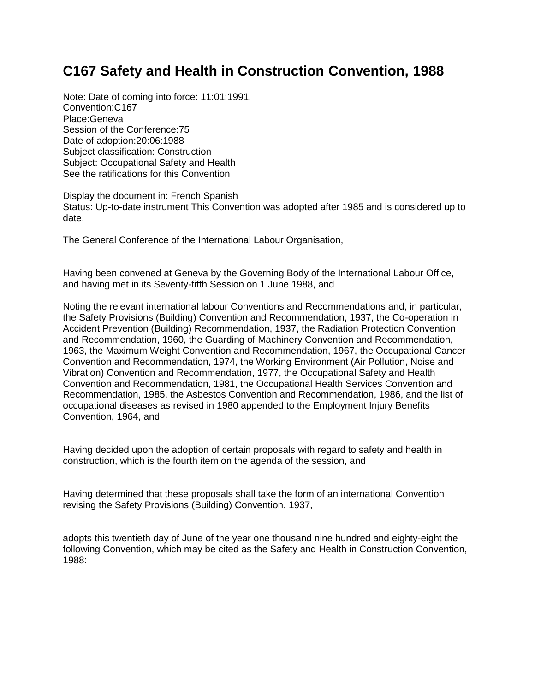# **C167 Safety and Health in Construction Convention, 1988**

Note: Date of coming into force: 11:01:1991. Convention:C167 Place:Geneva Session of the Conference:75 Date of adoption:20:06:1988 Subject classification: Construction Subject: Occupational Safety and Health See the ratifications for this Convention

Display the document in: French Spanish Status: Up-to-date instrument This Convention was adopted after 1985 and is considered up to date.

The General Conference of the International Labour Organisation,

Having been convened at Geneva by the Governing Body of the International Labour Office, and having met in its Seventy-fifth Session on 1 June 1988, and

Noting the relevant international labour Conventions and Recommendations and, in particular, the Safety Provisions (Building) Convention and Recommendation, 1937, the Co-operation in Accident Prevention (Building) Recommendation, 1937, the Radiation Protection Convention and Recommendation, 1960, the Guarding of Machinery Convention and Recommendation, 1963, the Maximum Weight Convention and Recommendation, 1967, the Occupational Cancer Convention and Recommendation, 1974, the Working Environment (Air Pollution, Noise and Vibration) Convention and Recommendation, 1977, the Occupational Safety and Health Convention and Recommendation, 1981, the Occupational Health Services Convention and Recommendation, 1985, the Asbestos Convention and Recommendation, 1986, and the list of occupational diseases as revised in 1980 appended to the Employment Injury Benefits Convention, 1964, and

Having decided upon the adoption of certain proposals with regard to safety and health in construction, which is the fourth item on the agenda of the session, and

Having determined that these proposals shall take the form of an international Convention revising the Safety Provisions (Building) Convention, 1937,

adopts this twentieth day of June of the year one thousand nine hundred and eighty-eight the following Convention, which may be cited as the Safety and Health in Construction Convention, 1988: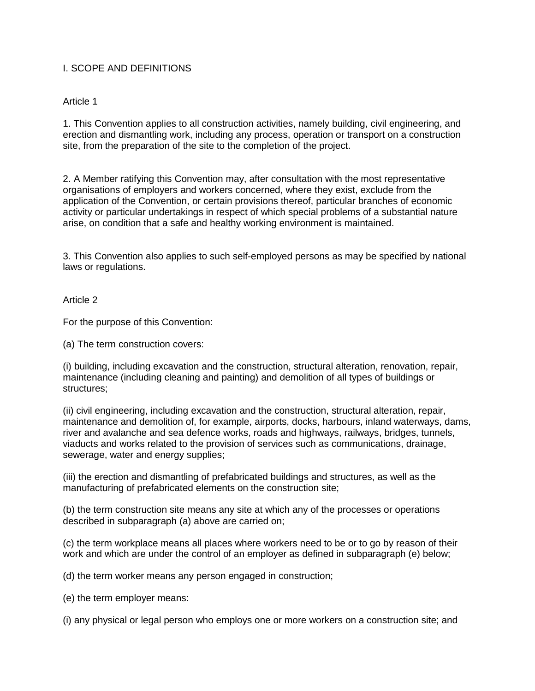# I. SCOPE AND DEFINITIONS

# Article 1

1. This Convention applies to all construction activities, namely building, civil engineering, and erection and dismantling work, including any process, operation or transport on a construction site, from the preparation of the site to the completion of the project.

2. A Member ratifying this Convention may, after consultation with the most representative organisations of employers and workers concerned, where they exist, exclude from the application of the Convention, or certain provisions thereof, particular branches of economic activity or particular undertakings in respect of which special problems of a substantial nature arise, on condition that a safe and healthy working environment is maintained.

3. This Convention also applies to such self-employed persons as may be specified by national laws or regulations.

#### Article 2

For the purpose of this Convention:

(a) The term construction covers:

(i) building, including excavation and the construction, structural alteration, renovation, repair, maintenance (including cleaning and painting) and demolition of all types of buildings or structures;

(ii) civil engineering, including excavation and the construction, structural alteration, repair, maintenance and demolition of, for example, airports, docks, harbours, inland waterways, dams, river and avalanche and sea defence works, roads and highways, railways, bridges, tunnels, viaducts and works related to the provision of services such as communications, drainage, sewerage, water and energy supplies;

(iii) the erection and dismantling of prefabricated buildings and structures, as well as the manufacturing of prefabricated elements on the construction site;

(b) the term construction site means any site at which any of the processes or operations described in subparagraph (a) above are carried on;

(c) the term workplace means all places where workers need to be or to go by reason of their work and which are under the control of an employer as defined in subparagraph (e) below;

(d) the term worker means any person engaged in construction;

(e) the term employer means:

(i) any physical or legal person who employs one or more workers on a construction site; and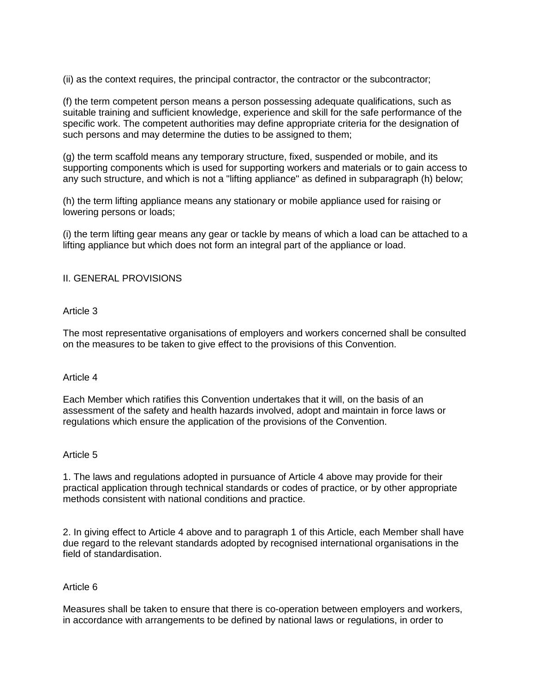(ii) as the context requires, the principal contractor, the contractor or the subcontractor;

(f) the term competent person means a person possessing adequate qualifications, such as suitable training and sufficient knowledge, experience and skill for the safe performance of the specific work. The competent authorities may define appropriate criteria for the designation of such persons and may determine the duties to be assigned to them;

(g) the term scaffold means any temporary structure, fixed, suspended or mobile, and its supporting components which is used for supporting workers and materials or to gain access to any such structure, and which is not a "lifting appliance" as defined in subparagraph (h) below;

(h) the term lifting appliance means any stationary or mobile appliance used for raising or lowering persons or loads;

(i) the term lifting gear means any gear or tackle by means of which a load can be attached to a lifting appliance but which does not form an integral part of the appliance or load.

#### II. GENERAL PROVISIONS

## Article 3

The most representative organisations of employers and workers concerned shall be consulted on the measures to be taken to give effect to the provisions of this Convention.

#### Article 4

Each Member which ratifies this Convention undertakes that it will, on the basis of an assessment of the safety and health hazards involved, adopt and maintain in force laws or regulations which ensure the application of the provisions of the Convention.

#### Article 5

1. The laws and regulations adopted in pursuance of Article 4 above may provide for their practical application through technical standards or codes of practice, or by other appropriate methods consistent with national conditions and practice.

2. In giving effect to Article 4 above and to paragraph 1 of this Article, each Member shall have due regard to the relevant standards adopted by recognised international organisations in the field of standardisation.

#### Article 6

Measures shall be taken to ensure that there is co-operation between employers and workers, in accordance with arrangements to be defined by national laws or regulations, in order to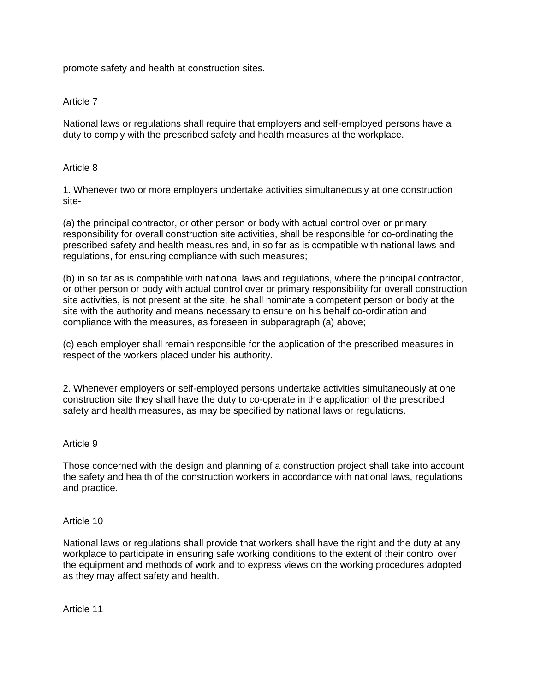promote safety and health at construction sites.

# Article 7

National laws or regulations shall require that employers and self-employed persons have a duty to comply with the prescribed safety and health measures at the workplace.

## Article 8

1. Whenever two or more employers undertake activities simultaneously at one construction site-

(a) the principal contractor, or other person or body with actual control over or primary responsibility for overall construction site activities, shall be responsible for co-ordinating the prescribed safety and health measures and, in so far as is compatible with national laws and regulations, for ensuring compliance with such measures;

(b) in so far as is compatible with national laws and regulations, where the principal contractor, or other person or body with actual control over or primary responsibility for overall construction site activities, is not present at the site, he shall nominate a competent person or body at the site with the authority and means necessary to ensure on his behalf co-ordination and compliance with the measures, as foreseen in subparagraph (a) above;

(c) each employer shall remain responsible for the application of the prescribed measures in respect of the workers placed under his authority.

2. Whenever employers or self-employed persons undertake activities simultaneously at one construction site they shall have the duty to co-operate in the application of the prescribed safety and health measures, as may be specified by national laws or regulations.

#### Article 9

Those concerned with the design and planning of a construction project shall take into account the safety and health of the construction workers in accordance with national laws, regulations and practice.

#### Article 10

National laws or regulations shall provide that workers shall have the right and the duty at any workplace to participate in ensuring safe working conditions to the extent of their control over the equipment and methods of work and to express views on the working procedures adopted as they may affect safety and health.

Article 11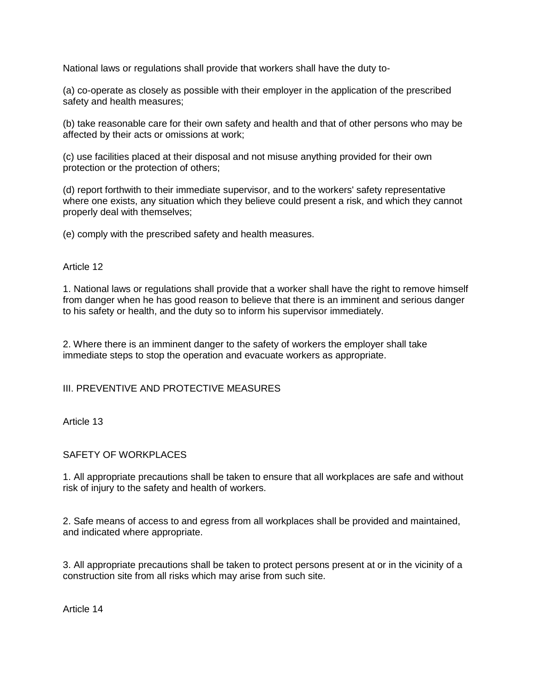National laws or regulations shall provide that workers shall have the duty to-

(a) co-operate as closely as possible with their employer in the application of the prescribed safety and health measures;

(b) take reasonable care for their own safety and health and that of other persons who may be affected by their acts or omissions at work;

(c) use facilities placed at their disposal and not misuse anything provided for their own protection or the protection of others;

(d) report forthwith to their immediate supervisor, and to the workers' safety representative where one exists, any situation which they believe could present a risk, and which they cannot properly deal with themselves;

(e) comply with the prescribed safety and health measures.

## Article 12

1. National laws or regulations shall provide that a worker shall have the right to remove himself from danger when he has good reason to believe that there is an imminent and serious danger to his safety or health, and the duty so to inform his supervisor immediately.

2. Where there is an imminent danger to the safety of workers the employer shall take immediate steps to stop the operation and evacuate workers as appropriate.

# III. PREVENTIVE AND PROTECTIVE MEASURES

Article 13

# SAFETY OF WORKPLACES

1. All appropriate precautions shall be taken to ensure that all workplaces are safe and without risk of injury to the safety and health of workers.

2. Safe means of access to and egress from all workplaces shall be provided and maintained, and indicated where appropriate.

3. All appropriate precautions shall be taken to protect persons present at or in the vicinity of a construction site from all risks which may arise from such site.

Article 14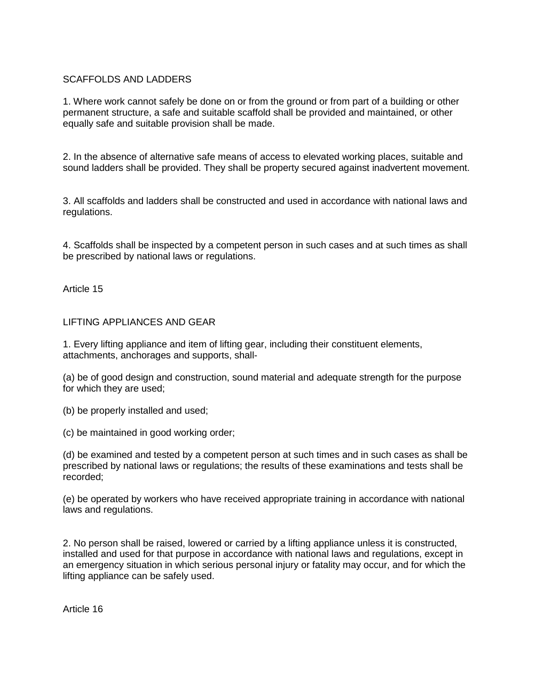# SCAFFOLDS AND LADDERS

1. Where work cannot safely be done on or from the ground or from part of a building or other permanent structure, a safe and suitable scaffold shall be provided and maintained, or other equally safe and suitable provision shall be made.

2. In the absence of alternative safe means of access to elevated working places, suitable and sound ladders shall be provided. They shall be property secured against inadvertent movement.

3. All scaffolds and ladders shall be constructed and used in accordance with national laws and regulations.

4. Scaffolds shall be inspected by a competent person in such cases and at such times as shall be prescribed by national laws or regulations.

Article 15

LIFTING APPLIANCES AND GEAR

1. Every lifting appliance and item of lifting gear, including their constituent elements, attachments, anchorages and supports, shall-

(a) be of good design and construction, sound material and adequate strength for the purpose for which they are used;

(b) be properly installed and used;

(c) be maintained in good working order;

(d) be examined and tested by a competent person at such times and in such cases as shall be prescribed by national laws or regulations; the results of these examinations and tests shall be recorded;

(e) be operated by workers who have received appropriate training in accordance with national laws and regulations.

2. No person shall be raised, lowered or carried by a lifting appliance unless it is constructed, installed and used for that purpose in accordance with national laws and regulations, except in an emergency situation in which serious personal injury or fatality may occur, and for which the lifting appliance can be safely used.

Article 16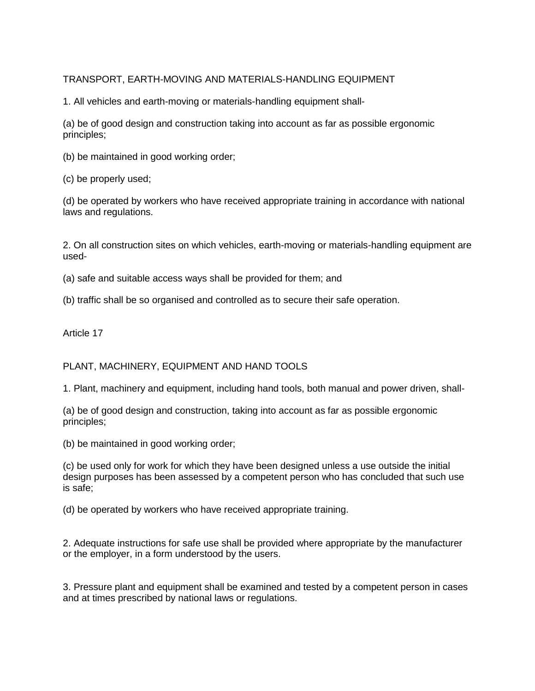# TRANSPORT, EARTH-MOVING AND MATERIALS-HANDLING EQUIPMENT

1. All vehicles and earth-moving or materials-handling equipment shall-

(a) be of good design and construction taking into account as far as possible ergonomic principles;

(b) be maintained in good working order;

(c) be properly used;

(d) be operated by workers who have received appropriate training in accordance with national laws and regulations.

2. On all construction sites on which vehicles, earth-moving or materials-handling equipment are used-

(a) safe and suitable access ways shall be provided for them; and

(b) traffic shall be so organised and controlled as to secure their safe operation.

Article 17

PLANT, MACHINERY, EQUIPMENT AND HAND TOOLS

1. Plant, machinery and equipment, including hand tools, both manual and power driven, shall-

(a) be of good design and construction, taking into account as far as possible ergonomic principles;

(b) be maintained in good working order;

(c) be used only for work for which they have been designed unless a use outside the initial design purposes has been assessed by a competent person who has concluded that such use is safe;

(d) be operated by workers who have received appropriate training.

2. Adequate instructions for safe use shall be provided where appropriate by the manufacturer or the employer, in a form understood by the users.

3. Pressure plant and equipment shall be examined and tested by a competent person in cases and at times prescribed by national laws or regulations.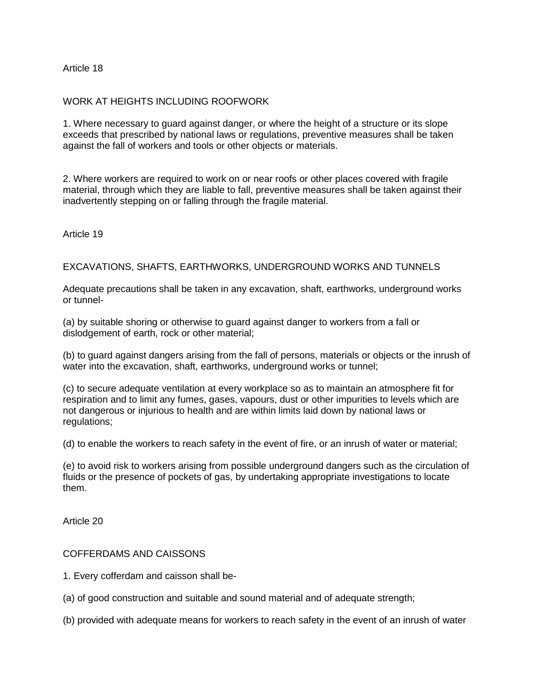Article 18

# WORK AT HEIGHTS INCLUDING ROOFWORK

1. Where necessary to guard against danger, or where the height of a structure or its slope exceeds that prescribed by national laws or regulations, preventive measures shall be taken against the fall of workers and tools or other objects or materials.

2. Where workers are required to work on or near roofs or other places covered with fragile material, through which they are liable to fall, preventive measures shall be taken against their inadvertently stepping on or falling through the fragile material.

Article 19

## EXCAVATIONS, SHAFTS, EARTHWORKS, UNDERGROUND WORKS AND TUNNELS

Adequate precautions shall be taken in any excavation, shaft, earthworks, underground works or tunnel-

(a) by suitable shoring or otherwise to guard against danger to workers from a fall or dislodgement of earth, rock or other material;

(b) to guard against dangers arising from the fall of persons, materials or objects or the inrush of water into the excavation, shaft, earthworks, underground works or tunnel;

(c) to secure adequate ventilation at every workplace so as to maintain an atmosphere fit for respiration and to limit any fumes, gases, vapours, dust or other impurities to levels which are not dangerous or injurious to health and are within limits laid down by national laws or regulations;

(d) to enable the workers to reach safety in the event of fire, or an inrush of water or material;

(e) to avoid risk to workers arising from possible underground dangers such as the circulation of fluids or the presence of pockets of gas, by undertaking appropriate investigations to locate them.

Article 20

#### COFFERDAMS AND CAISSONS

1. Every cofferdam and caisson shall be-

(a) of good construction and suitable and sound material and of adequate strength;

(b) provided with adequate means for workers to reach safety in the event of an inrush of water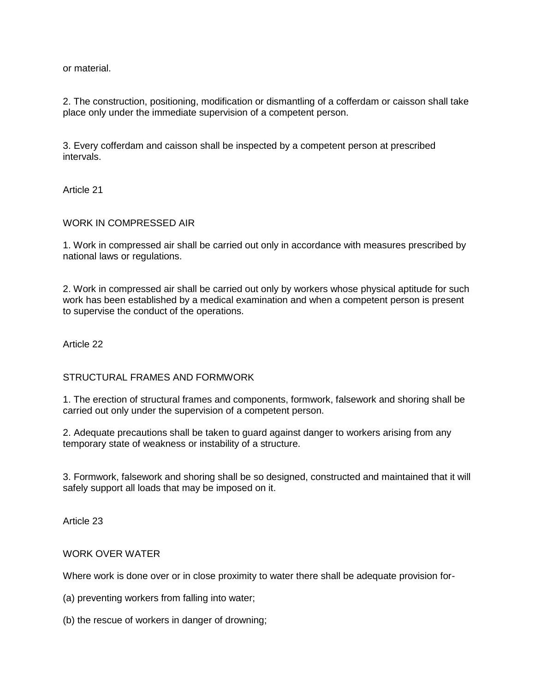or material.

2. The construction, positioning, modification or dismantling of a cofferdam or caisson shall take place only under the immediate supervision of a competent person.

3. Every cofferdam and caisson shall be inspected by a competent person at prescribed intervals.

Article 21

#### WORK IN COMPRESSED AIR

1. Work in compressed air shall be carried out only in accordance with measures prescribed by national laws or regulations.

2. Work in compressed air shall be carried out only by workers whose physical aptitude for such work has been established by a medical examination and when a competent person is present to supervise the conduct of the operations.

Article 22

#### STRUCTURAL FRAMES AND FORMWORK

1. The erection of structural frames and components, formwork, falsework and shoring shall be carried out only under the supervision of a competent person.

2. Adequate precautions shall be taken to guard against danger to workers arising from any temporary state of weakness or instability of a structure.

3. Formwork, falsework and shoring shall be so designed, constructed and maintained that it will safely support all loads that may be imposed on it.

Article 23

## WORK OVER WATER

Where work is done over or in close proximity to water there shall be adequate provision for-

(a) preventing workers from falling into water;

(b) the rescue of workers in danger of drowning;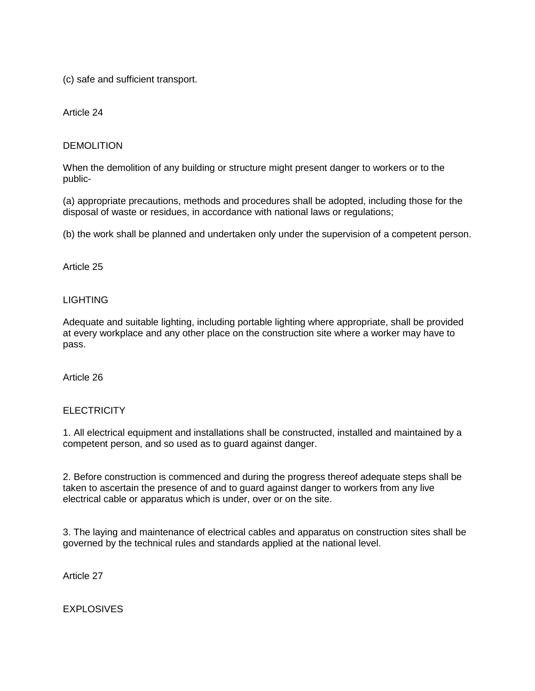(c) safe and sufficient transport.

Article 24

# DEMOLITION

When the demolition of any building or structure might present danger to workers or to the public-

(a) appropriate precautions, methods and procedures shall be adopted, including those for the disposal of waste or residues, in accordance with national laws or regulations;

(b) the work shall be planned and undertaken only under the supervision of a competent person.

Article 25

## LIGHTING

Adequate and suitable lighting, including portable lighting where appropriate, shall be provided at every workplace and any other place on the construction site where a worker may have to pass.

Article 26

# **ELECTRICITY**

1. All electrical equipment and installations shall be constructed, installed and maintained by a competent person, and so used as to guard against danger.

2. Before construction is commenced and during the progress thereof adequate steps shall be taken to ascertain the presence of and to guard against danger to workers from any live electrical cable or apparatus which is under, over or on the site.

3. The laying and maintenance of electrical cables and apparatus on construction sites shall be governed by the technical rules and standards applied at the national level.

Article 27

EXPLOSIVES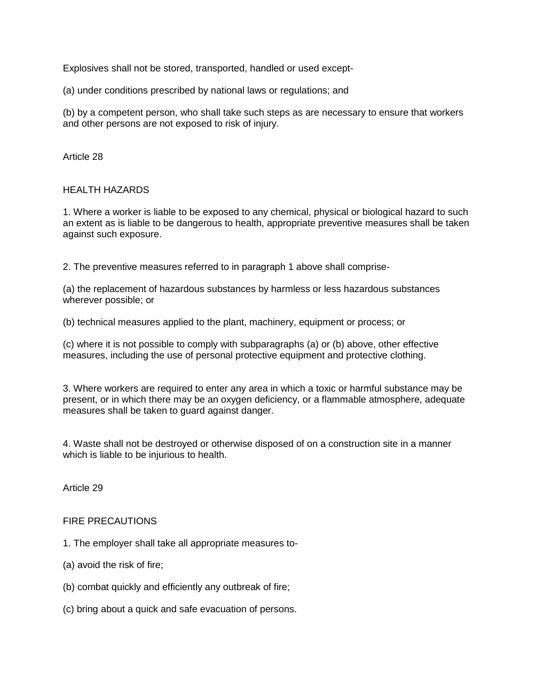Explosives shall not be stored, transported, handled or used except-

(a) under conditions prescribed by national laws or regulations; and

(b) by a competent person, who shall take such steps as are necessary to ensure that workers and other persons are not exposed to risk of injury.

Article 28

## HEALTH HAZARDS

1. Where a worker is liable to be exposed to any chemical, physical or biological hazard to such an extent as is liable to be dangerous to health, appropriate preventive measures shall be taken against such exposure.

2. The preventive measures referred to in paragraph 1 above shall comprise-

(a) the replacement of hazardous substances by harmless or less hazardous substances wherever possible; or

(b) technical measures applied to the plant, machinery, equipment or process; or

(c) where it is not possible to comply with subparagraphs (a) or (b) above, other effective measures, including the use of personal protective equipment and protective clothing.

3. Where workers are required to enter any area in which a toxic or harmful substance may be present, or in which there may be an oxygen deficiency, or a flammable atmosphere, adequate measures shall be taken to guard against danger.

4. Waste shall not be destroyed or otherwise disposed of on a construction site in a manner which is liable to be injurious to health.

Article 29

# FIRE PRECAUTIONS

- 1. The employer shall take all appropriate measures to-
- (a) avoid the risk of fire;
- (b) combat quickly and efficiently any outbreak of fire;
- (c) bring about a quick and safe evacuation of persons.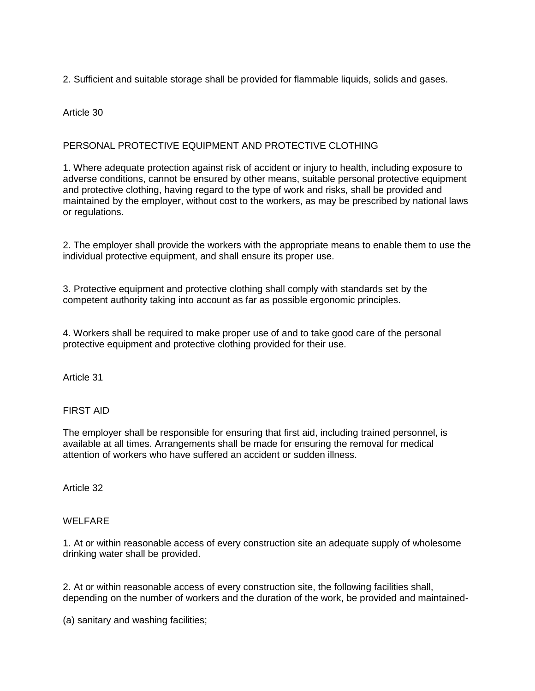2. Sufficient and suitable storage shall be provided for flammable liquids, solids and gases.

# Article 30

# PERSONAL PROTECTIVE EQUIPMENT AND PROTECTIVE CLOTHING

1. Where adequate protection against risk of accident or injury to health, including exposure to adverse conditions, cannot be ensured by other means, suitable personal protective equipment and protective clothing, having regard to the type of work and risks, shall be provided and maintained by the employer, without cost to the workers, as may be prescribed by national laws or regulations.

2. The employer shall provide the workers with the appropriate means to enable them to use the individual protective equipment, and shall ensure its proper use.

3. Protective equipment and protective clothing shall comply with standards set by the competent authority taking into account as far as possible ergonomic principles.

4. Workers shall be required to make proper use of and to take good care of the personal protective equipment and protective clothing provided for their use.

Article 31

# FIRST AID

The employer shall be responsible for ensuring that first aid, including trained personnel, is available at all times. Arrangements shall be made for ensuring the removal for medical attention of workers who have suffered an accident or sudden illness.

Article 32

#### WELFARE

1. At or within reasonable access of every construction site an adequate supply of wholesome drinking water shall be provided.

2. At or within reasonable access of every construction site, the following facilities shall, depending on the number of workers and the duration of the work, be provided and maintained-

(a) sanitary and washing facilities;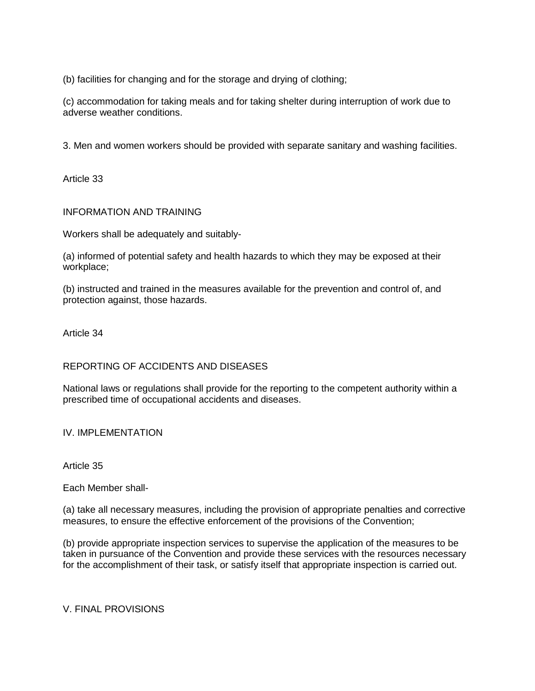(b) facilities for changing and for the storage and drying of clothing;

(c) accommodation for taking meals and for taking shelter during interruption of work due to adverse weather conditions.

3. Men and women workers should be provided with separate sanitary and washing facilities.

Article 33

INFORMATION AND TRAINING

Workers shall be adequately and suitably-

(a) informed of potential safety and health hazards to which they may be exposed at their workplace;

(b) instructed and trained in the measures available for the prevention and control of, and protection against, those hazards.

Article 34

REPORTING OF ACCIDENTS AND DISEASES

National laws or regulations shall provide for the reporting to the competent authority within a prescribed time of occupational accidents and diseases.

IV. IMPLEMENTATION

Article 35

Each Member shall-

(a) take all necessary measures, including the provision of appropriate penalties and corrective measures, to ensure the effective enforcement of the provisions of the Convention;

(b) provide appropriate inspection services to supervise the application of the measures to be taken in pursuance of the Convention and provide these services with the resources necessary for the accomplishment of their task, or satisfy itself that appropriate inspection is carried out.

V. FINAL PROVISIONS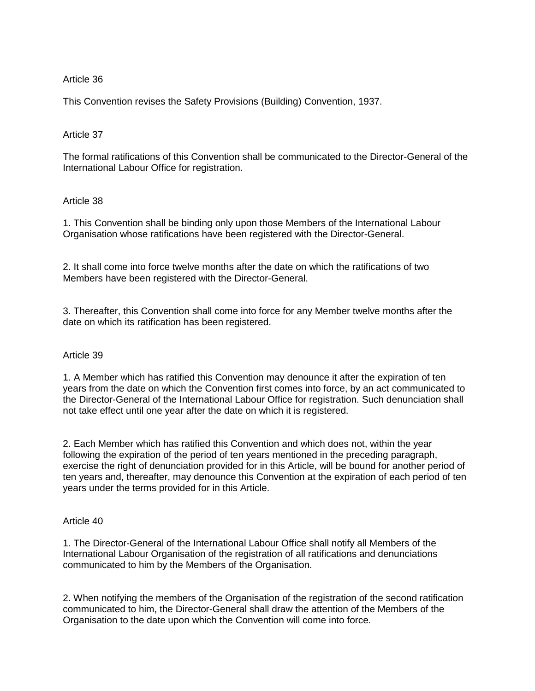# Article 36

This Convention revises the Safety Provisions (Building) Convention, 1937.

## Article 37

The formal ratifications of this Convention shall be communicated to the Director-General of the International Labour Office for registration.

## Article 38

1. This Convention shall be binding only upon those Members of the International Labour Organisation whose ratifications have been registered with the Director-General.

2. It shall come into force twelve months after the date on which the ratifications of two Members have been registered with the Director-General.

3. Thereafter, this Convention shall come into force for any Member twelve months after the date on which its ratification has been registered.

#### Article 39

1. A Member which has ratified this Convention may denounce it after the expiration of ten years from the date on which the Convention first comes into force, by an act communicated to the Director-General of the International Labour Office for registration. Such denunciation shall not take effect until one year after the date on which it is registered.

2. Each Member which has ratified this Convention and which does not, within the year following the expiration of the period of ten years mentioned in the preceding paragraph, exercise the right of denunciation provided for in this Article, will be bound for another period of ten years and, thereafter, may denounce this Convention at the expiration of each period of ten years under the terms provided for in this Article.

#### Article 40

1. The Director-General of the International Labour Office shall notify all Members of the International Labour Organisation of the registration of all ratifications and denunciations communicated to him by the Members of the Organisation.

2. When notifying the members of the Organisation of the registration of the second ratification communicated to him, the Director-General shall draw the attention of the Members of the Organisation to the date upon which the Convention will come into force.